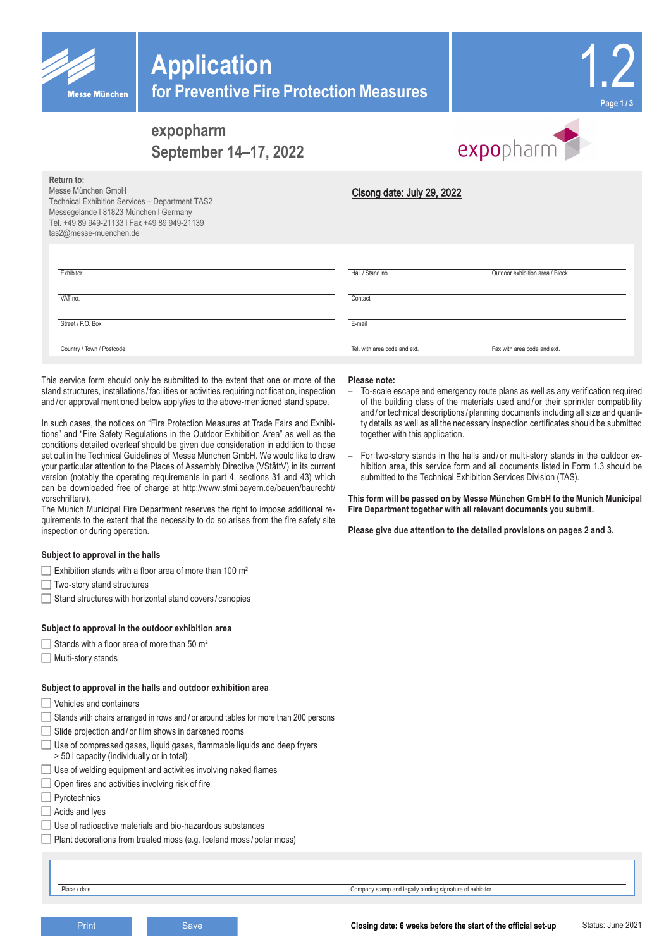

**Return to:**

# **Application for Preventive Fire Protection Measures**



# **expopharm September 14–17, 2022**



| .<br>Messe München GmbH<br>Technical Exhibition Services - Department TAS2<br>Messegelände I 81823 München I Germany<br>Tel. +49 89 949-21133   Fax +49 89 949-21139<br>tas2@messe-muenchen.de | Clsong date: July 29, 2022   |                                 |
|------------------------------------------------------------------------------------------------------------------------------------------------------------------------------------------------|------------------------------|---------------------------------|
| Exhibitor                                                                                                                                                                                      | Hall / Stand no.             | Outdoor exhibition area / Block |
| VAT no.                                                                                                                                                                                        | Contact                      |                                 |
| Street / P.O. Box                                                                                                                                                                              | E-mail                       |                                 |
| Country / Town / Postcode                                                                                                                                                                      | Tel, with area code and ext. | Fax with area code and ext.     |

This service form should only be submitted to the extent that one or more of the stand structures, installations / facilities or activities requiring notification, inspection and / or approval mentioned below apply/ies to the above-mentioned stand space.

In such cases, the notices on "Fire Protection Measures at Trade Fairs and Exhibitions" and "Fire Safety Regulations in the Outdoor Exhibition Area" as well as the conditions detailed overleaf should be given due consideration in addition to those set out in the Technical Guidelines of Messe München GmbH. We would like to draw your particular attention to the Places of Assembly Directive (VStättV) in its current version (notably the operating requirements in part 4, sections 31 and 43) which can be downloaded free of charge at http://www.stmi.bayern.de/bauen/baurecht/ vorschriften/).

The Munich Municipal Fire Department reserves the right to impose additional requirements to the extent that the necessity to do so arises from the fire safety site inspection or during operation.

### **Subject to approval in the halls**

- Exhibition stands with a floor area of more than 100  $m^2$
- $\Box$  Two-story stand structures
- $\Box$  Stand structures with horizontal stand covers / canopies

### **Subject to approval in the outdoor exhibition area**

- $\Box$  Stands with a floor area of more than 50 m<sup>2</sup>
- $\Box$  Multi-story stands

### **Subject to approval in the halls and outdoor exhibition area**

- $\Box$  Vehicles and containers
- E Stands with chairs arranged in rows and / or around tables for more than 200 persons
- $\Box$  Slide projection and/or film shows in darkened rooms
- E Use of compressed gases, liquid gases, flammable liquids and deep fryers
- > 50 l capacity (individually or in total)
- E Use of welding equipment and activities involving naked flames
- $\Box$  Open fires and activities involving risk of fire
- $\Box$  Pyrotechnics
- $\Box$  Acids and lyes
- $\Box$  Use of radioactive materials and bio-hazardous substances
- $\Box$  Plant decorations from treated moss (e.g. Iceland moss / polar moss)

#### **Please note:**

- To-scale escape and emergency route plans as well as any verification required of the building class of the materials used and / or their sprinkler compatibility and / or technical descriptions / planning documents including all size and quantity details as well as all the necessary inspection certificates should be submitted together with this application.
- For two-story stands in the halls and / or multi-story stands in the outdoor exhibition area, this service form and all documents listed in Form 1.3 should be submitted to the Technical Exhibition Services Division (TAS).

**This form will be passed on by Messe München GmbH to the Munich Municipal Fire Department together with all relevant documents you submit.**

**Please give due attention to the detailed provisions on pages 2 and 3.**

Place / date Company stamp and legally binding signature of exhibitor

Status: June 2021 **Print Save Save Save Save Set Line Same Save Set Line Set Line Set Line Set Line Set Line Set Line Set Line Set Line Set Line Set Line Set Line Set Line Set Line Set Line Set Line Set Line Set Line Set Line Set Line Set L**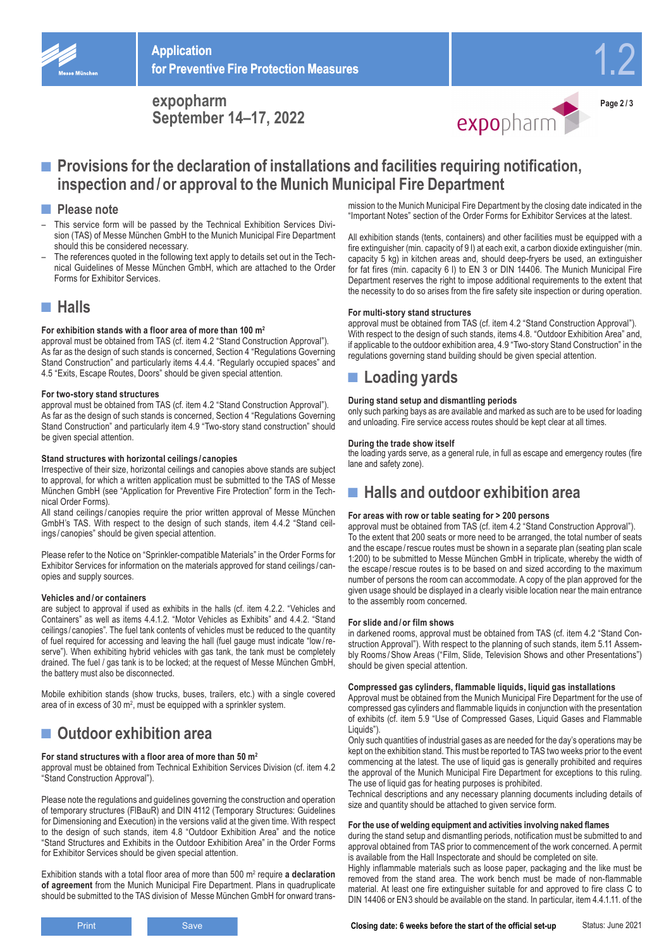

**expopharm September 14–17, 2022**



1.2

**Page 2 / 3**

# ■ Provisions for the declaration of installations and facilities requiring notification, **inspection and/or approval to the Munich Municipal Fire Department**

### **■ Please note**

- This service form will be passed by the Technical Exhibition Services Division (TAS) of Messe München GmbH to the Munich Municipal Fire Department should this be considered necessary.
- The references quoted in the following text apply to details set out in the Technical Guidelines of Messe München GmbH, which are attached to the Order Forms for Exhibitor Services.

# **■ Halls**

### **For exhibition stands with a floor area of more than 100 m2**

approval must be obtained from TAS (cf. item 4.2 "Stand Construction Approval"). As far as the design of such stands is concerned, Section 4 "Regulations Governing Stand Construction" and particularly items 4.4.4. "Regularly occupied spaces" and 4.5 "Exits, Escape Routes, Doors" should be given special attention.

#### **For two-story stand structures**

approval must be obtained from TAS (cf. item 4.2 "Stand Construction Approval"). As far as the design of such stands is concerned, Section 4 "Regulations Governing Stand Construction" and particularly item 4.9 "Two-story stand construction" should be given special attention.

#### **Stand structures with horizontal ceilings / canopies**

Irrespective of their size, horizontal ceilings and canopies above stands are subject to approval, for which a written application must be submitted to the TAS of Messe München GmbH (see "Application for Preventive Fire Protection" form in the Technical Order Forms).

All stand ceilings/canopies require the prior written approval of Messe München GmbH's TAS. With respect to the design of such stands, item 4.4.2 "Stand ceilings / canopies" should be given special attention.

Please refer to the Notice on "Sprinkler-compatible Materials" in the Order Forms for Exhibitor Services for information on the materials approved for stand ceilings / canopies and supply sources.

### **Vehicles and/or containers**

are subject to approval if used as exhibits in the halls (cf. item 4.2.2. "Vehicles and Containers" as well as items 4.4.1.2. "Motor Vehicles as Exhibits" and 4.4.2. "Stand ceilings / canopies". The fuel tank contents of vehicles must be reduced to the quantity of fuel required for accessing and leaving the hall (fuel gauge must indicate "low/reserve"). When exhibiting hybrid vehicles with gas tank, the tank must be completely drained. The fuel / gas tank is to be locked; at the request of Messe München GmbH, the battery must also be disconnected.

Mobile exhibition stands (show trucks, buses, trailers, etc.) with a single covered area of in excess of 30 m<sup>2</sup>, must be equipped with a sprinkler system.

# **■ Outdoor exhibition area**

### **For stand structures with a floor area of more than 50 m2**

approval must be obtained from Technical Exhibition Services Division (cf. item 4.2 "Stand Construction Approval").

Please note the regulations and guidelines governing the construction and operation of temporary structures (FlBauR) and DIN 4112 (Temporary Structures: Guidelines for Dimensioning and Execution) in the versions valid at the given time. With respect to the design of such stands, item 4.8 "Outdoor Exhibition Area" and the notice "Stand Structures and Exhibits in the Outdoor Exhibition Area" in the Order Forms for Exhibitor Services should be given special attention.

Exhibition stands with a total floor area of more than 500 m<sup>2</sup> require a declaration **of agreement** from the Munich Municipal Fire Department. Plans in quadruplicate should be submitted to the TAS division of Messe München GmbH for onward transmission to the Munich Municipal Fire Department by the closing date indicated in the "Important Notes" section of the Order Forms for Exhibitor Services at the latest.

All exhibition stands (tents, containers) and other facilities must be equipped with a fire extinguisher (min. capacity of 9 l) at each exit, a carbon dioxide extinguisher (min. capacity 5 kg) in kitchen areas and, should deep-fryers be used, an extinguisher for fat fires (min. capacity 6 l) to EN 3 or DIN 14406. The Munich Municipal Fire Department reserves the right to impose additional requirements to the extent that the necessity to do so arises from the fire safety site inspection or during operation.

### **For multi-story stand structures**

approval must be obtained from TAS (cf. item 4.2 "Stand Construction Approval"). With respect to the design of such stands, items 4.8. "Outdoor Exhibition Area" and, if applicable to the outdoor exhibition area, 4.9 "Two-story Stand Construction" in the regulations governing stand building should be given special attention.

# **■ Loading yards**

### **During stand setup and dismantling periods**

only such parking bays as are available and marked as such are to be used for loading and unloading. Fire service access routes should be kept clear at all times.

#### **During the trade show itself**

the loading yards serve, as a general rule, in full as escape and emergency routes (fire lane and safety zone).

# **■ Halls and outdoor exhibition area**

### **For areas with row or table seating for > 200 persons**

approval must be obtained from TAS (cf. item 4.2 "Stand Construction Approval"). To the extent that 200 seats or more need to be arranged, the total number of seats and the escape /rescue routes must be shown in a separate plan (seating plan scale 1:200) to be submitted to Messe München GmbH in triplicate, whereby the width of the escape /rescue routes is to be based on and sized according to the maximum number of persons the room can accommodate. A copy of the plan approved for the given usage should be displayed in a clearly visible location near the main entrance to the assembly room concerned.

### **For slide and/or film shows**

in darkened rooms, approval must be obtained from TAS (cf. item 4.2 "Stand Construction Approval"). With respect to the planning of such stands, item 5.11 Assembly Rooms/Show Areas ("Film, Slide, Television Shows and other Presentations") should be given special attention.

### **Compressed gas cylinders, flammable liquids, liquid gas installations**

Approval must be obtained from the Munich Municipal Fire Department for the use of compressed gas cylinders and flammable liquids in conjunction with the presentation of exhibits (cf. item 5.9 "Use of Compressed Gases, Liquid Gases and Flammable Liquids")

Only such quantities of industrial gases as are needed for the day's operations may be kept on the exhibition stand. This must be reported to TAS two weeks prior to the event commencing at the latest. The use of liquid gas is generally prohibited and requires the approval of the Munich Municipal Fire Department for exceptions to this ruling. The use of liquid gas for heating purposes is prohibited.

Technical descriptions and any necessary planning documents including details of size and quantity should be attached to given service form.

#### **For the use of welding equipment and activities involving naked flames**

during the stand setup and dismantling periods, notification must be submitted to and approval obtained from TAS prior to commencement of the work concerned. A permit is available from the Hall Inspectorate and should be completed on site.

Highly inflammable materials such as loose paper, packaging and the like must be removed from the stand area. The work bench must be made of non-flammable material. At least one fire extinguisher suitable for and approved to fire class C to DIN 14406 or EN3 should be available on the stand. In particular, item 4.4.1.11. of the